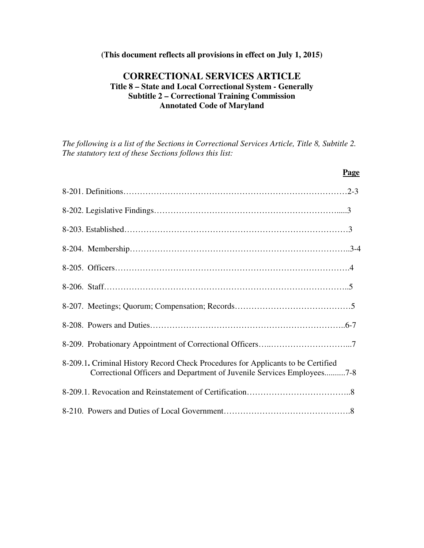#### **(This document reflects all provisions in effect on July 1, 2015)**

# **CORRECTIONAL SERVICES ARTICLE Title 8 – State and Local Correctional System - Generally Subtitle 2 – Correctional Training Commission Annotated Code of Maryland**

*The following is a list of the Sections in Correctional Services Article, Title 8, Subtitle 2. The statutory text of these Sections follows this list:* 

| Page                                                                                                                                                       |  |
|------------------------------------------------------------------------------------------------------------------------------------------------------------|--|
|                                                                                                                                                            |  |
|                                                                                                                                                            |  |
|                                                                                                                                                            |  |
|                                                                                                                                                            |  |
|                                                                                                                                                            |  |
|                                                                                                                                                            |  |
|                                                                                                                                                            |  |
|                                                                                                                                                            |  |
|                                                                                                                                                            |  |
| 8-209.1. Criminal History Record Check Procedures for Applicants to be Certified<br>Correctional Officers and Department of Juvenile Services Employees7-8 |  |
|                                                                                                                                                            |  |
|                                                                                                                                                            |  |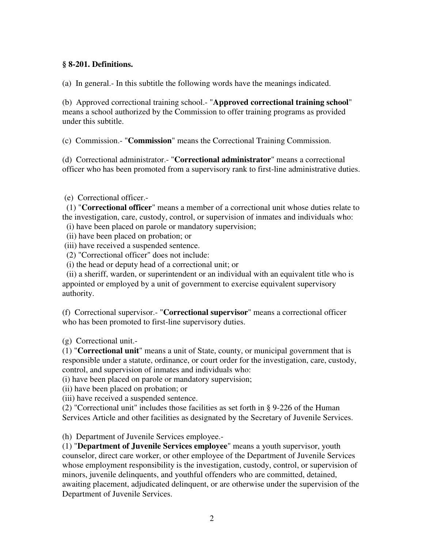#### **§ 8-201. Definitions.**

(a) In general.- In this subtitle the following words have the meanings indicated.

(b) Approved correctional training school.- "**Approved correctional training school**" means a school authorized by the Commission to offer training programs as provided under this subtitle.

(c) Commission.- "**Commission**" means the Correctional Training Commission.

(d) Correctional administrator.- "**Correctional administrator**" means a correctional officer who has been promoted from a supervisory rank to first-line administrative duties.

(e) Correctional officer.-

 (1) "**Correctional officer**" means a member of a correctional unit whose duties relate to the investigation, care, custody, control, or supervision of inmates and individuals who:

- (i) have been placed on parole or mandatory supervision;
- (ii) have been placed on probation; or
- (iii) have received a suspended sentence.
- (2) "Correctional officer" does not include:
- (i) the head or deputy head of a correctional unit; or

 (ii) a sheriff, warden, or superintendent or an individual with an equivalent title who is appointed or employed by a unit of government to exercise equivalent supervisory authority.

(f) Correctional supervisor.- "**Correctional supervisor**" means a correctional officer who has been promoted to first-line supervisory duties.

(g) Correctional unit.-

(1) "**Correctional unit**" means a unit of State, county, or municipal government that is responsible under a statute, ordinance, or court order for the investigation, care, custody, control, and supervision of inmates and individuals who:

(i) have been placed on parole or mandatory supervision;

(ii) have been placed on probation; or

(iii) have received a suspended sentence.

(2) "Correctional unit" includes those facilities as set forth in § 9-226 of the Human Services Article and other facilities as designated by the Secretary of Juvenile Services.

(h) Department of Juvenile Services employee.-

(1) "**Department of Juvenile Services employee**" means a youth supervisor, youth counselor, direct care worker, or other employee of the Department of Juvenile Services whose employment responsibility is the investigation, custody, control, or supervision of minors, juvenile delinquents, and youthful offenders who are committed, detained, awaiting placement, adjudicated delinquent, or are otherwise under the supervision of the Department of Juvenile Services.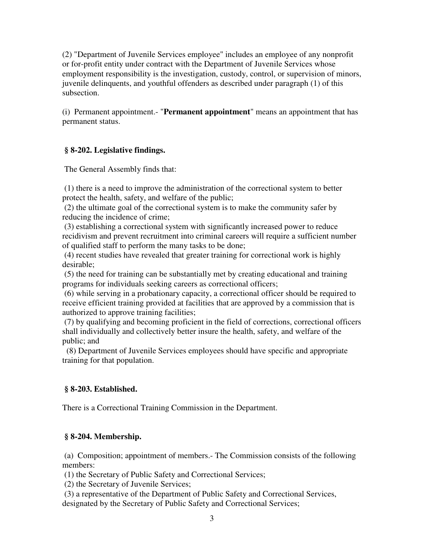(2) "Department of Juvenile Services employee" includes an employee of any nonprofit or for-profit entity under contract with the Department of Juvenile Services whose employment responsibility is the investigation, custody, control, or supervision of minors, juvenile delinquents, and youthful offenders as described under paragraph (1) of this subsection.

(i) Permanent appointment.- "**Permanent appointment**" means an appointment that has permanent status.

# **§ 8-202. Legislative findings.**

The General Assembly finds that:

 (1) there is a need to improve the administration of the correctional system to better protect the health, safety, and welfare of the public;

 (2) the ultimate goal of the correctional system is to make the community safer by reducing the incidence of crime;

 (3) establishing a correctional system with significantly increased power to reduce recidivism and prevent recruitment into criminal careers will require a sufficient number of qualified staff to perform the many tasks to be done;

 (4) recent studies have revealed that greater training for correctional work is highly desirable;

 (5) the need for training can be substantially met by creating educational and training programs for individuals seeking careers as correctional officers;

 (6) while serving in a probationary capacity, a correctional officer should be required to receive efficient training provided at facilities that are approved by a commission that is authorized to approve training facilities;

 (7) by qualifying and becoming proficient in the field of corrections, correctional officers shall individually and collectively better insure the health, safety, and welfare of the public; and

 (8) Department of Juvenile Services employees should have specific and appropriate training for that population.

## **§ 8-203. Established.**

There is a Correctional Training Commission in the Department.

## **§ 8-204. Membership.**

 (a) Composition; appointment of members.- The Commission consists of the following members:

(1) the Secretary of Public Safety and Correctional Services;

(2) the Secretary of Juvenile Services;

 (3) a representative of the Department of Public Safety and Correctional Services, designated by the Secretary of Public Safety and Correctional Services;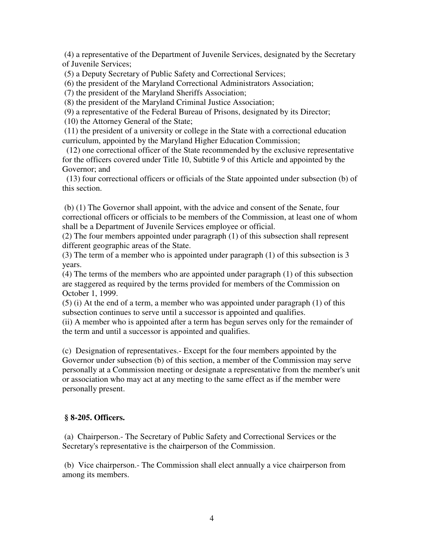(4) a representative of the Department of Juvenile Services, designated by the Secretary of Juvenile Services;

(5) a Deputy Secretary of Public Safety and Correctional Services;

(6) the president of the Maryland Correctional Administrators Association;

(7) the president of the Maryland Sheriffs Association;

(8) the president of the Maryland Criminal Justice Association;

(9) a representative of the Federal Bureau of Prisons, designated by its Director;

(10) the Attorney General of the State;

 (11) the president of a university or college in the State with a correctional education curriculum, appointed by the Maryland Higher Education Commission;

 (12) one correctional officer of the State recommended by the exclusive representative for the officers covered under Title 10, Subtitle 9 of this Article and appointed by the Governor; and

 (13) four correctional officers or officials of the State appointed under subsection (b) of this section.

 (b) (1) The Governor shall appoint, with the advice and consent of the Senate, four correctional officers or officials to be members of the Commission, at least one of whom shall be a Department of Juvenile Services employee or official.

(2) The four members appointed under paragraph (1) of this subsection shall represent different geographic areas of the State.

(3) The term of a member who is appointed under paragraph (1) of this subsection is 3 years.

(4) The terms of the members who are appointed under paragraph (1) of this subsection are staggered as required by the terms provided for members of the Commission on October 1, 1999.

(5) (i) At the end of a term, a member who was appointed under paragraph (1) of this subsection continues to serve until a successor is appointed and qualifies.

(ii) A member who is appointed after a term has begun serves only for the remainder of the term and until a successor is appointed and qualifies.

(c) Designation of representatives.- Except for the four members appointed by the Governor under subsection (b) of this section, a member of the Commission may serve personally at a Commission meeting or designate a representative from the member's unit or association who may act at any meeting to the same effect as if the member were personally present.

## **§ 8-205. Officers.**

 (a) Chairperson.- The Secretary of Public Safety and Correctional Services or the Secretary's representative is the chairperson of the Commission.

 (b) Vice chairperson.- The Commission shall elect annually a vice chairperson from among its members.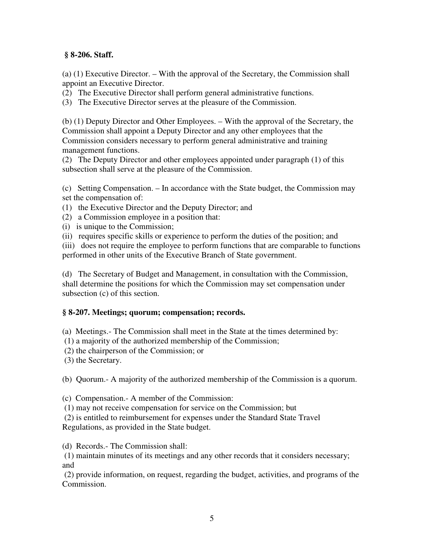## **§ 8-206. Staff.**

(a) (1) Executive Director. – With the approval of the Secretary, the Commission shall appoint an Executive Director.

(2) The Executive Director shall perform general administrative functions.

(3) The Executive Director serves at the pleasure of the Commission.

(b) (1) Deputy Director and Other Employees. – With the approval of the Secretary, the Commission shall appoint a Deputy Director and any other employees that the Commission considers necessary to perform general administrative and training management functions.

(2) The Deputy Director and other employees appointed under paragraph (1) of this subsection shall serve at the pleasure of the Commission.

(c) Setting Compensation. – In accordance with the State budget, the Commission may set the compensation of:

(1) the Executive Director and the Deputy Director; and

(2) a Commission employee in a position that:

(i) is unique to the Commission;

(ii) requires specific skills or experience to perform the duties of the position; and

(iii) does not require the employee to perform functions that are comparable to functions performed in other units of the Executive Branch of State government.

(d) The Secretary of Budget and Management, in consultation with the Commission, shall determine the positions for which the Commission may set compensation under subsection (c) of this section.

## **§ 8-207. Meetings; quorum; compensation; records.**

(a) Meetings.- The Commission shall meet in the State at the times determined by:

(1) a majority of the authorized membership of the Commission;

(2) the chairperson of the Commission; or

(3) the Secretary.

(b) Quorum.- A majority of the authorized membership of the Commission is a quorum.

(c) Compensation.- A member of the Commission:

(1) may not receive compensation for service on the Commission; but

 (2) is entitled to reimbursement for expenses under the Standard State Travel Regulations, as provided in the State budget.

(d) Records.- The Commission shall:

 (1) maintain minutes of its meetings and any other records that it considers necessary; and

 (2) provide information, on request, regarding the budget, activities, and programs of the Commission.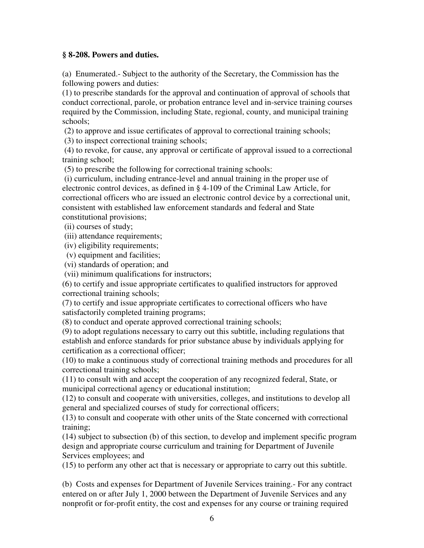#### **§ 8-208. Powers and duties.**

(a) Enumerated.- Subject to the authority of the Secretary, the Commission has the following powers and duties:

(1) to prescribe standards for the approval and continuation of approval of schools that conduct correctional, parole, or probation entrance level and in-service training courses required by the Commission, including State, regional, county, and municipal training schools;

(2) to approve and issue certificates of approval to correctional training schools;

(3) to inspect correctional training schools;

 (4) to revoke, for cause, any approval or certificate of approval issued to a correctional training school;

(5) to prescribe the following for correctional training schools:

 (i) curriculum, including entrance-level and annual training in the proper use of electronic control devices, as defined in § 4-109 of the Criminal Law Article, for correctional officers who are issued an electronic control device by a correctional unit, consistent with established law enforcement standards and federal and State constitutional provisions;

(ii) courses of study;

(iii) attendance requirements;

(iv) eligibility requirements;

(v) equipment and facilities;

(vi) standards of operation; and

(vii) minimum qualifications for instructors;

(6) to certify and issue appropriate certificates to qualified instructors for approved correctional training schools;

(7) to certify and issue appropriate certificates to correctional officers who have satisfactorily completed training programs;

(8) to conduct and operate approved correctional training schools;

(9) to adopt regulations necessary to carry out this subtitle, including regulations that establish and enforce standards for prior substance abuse by individuals applying for certification as a correctional officer;

(10) to make a continuous study of correctional training methods and procedures for all correctional training schools;

(11) to consult with and accept the cooperation of any recognized federal, State, or municipal correctional agency or educational institution;

(12) to consult and cooperate with universities, colleges, and institutions to develop all general and specialized courses of study for correctional officers;

(13) to consult and cooperate with other units of the State concerned with correctional training;

(14) subject to subsection (b) of this section, to develop and implement specific program design and appropriate course curriculum and training for Department of Juvenile Services employees; and

(15) to perform any other act that is necessary or appropriate to carry out this subtitle.

(b) Costs and expenses for Department of Juvenile Services training.- For any contract entered on or after July 1, 2000 between the Department of Juvenile Services and any nonprofit or for-profit entity, the cost and expenses for any course or training required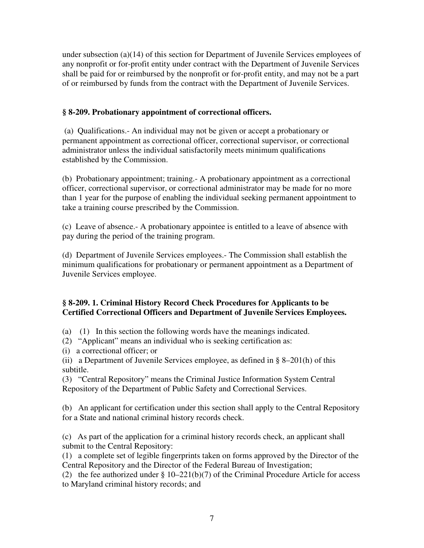under subsection (a)(14) of this section for Department of Juvenile Services employees of any nonprofit or for-profit entity under contract with the Department of Juvenile Services shall be paid for or reimbursed by the nonprofit or for-profit entity, and may not be a part of or reimbursed by funds from the contract with the Department of Juvenile Services.

## **§ 8-209. Probationary appointment of correctional officers.**

 (a) Qualifications.- An individual may not be given or accept a probationary or permanent appointment as correctional officer, correctional supervisor, or correctional administrator unless the individual satisfactorily meets minimum qualifications established by the Commission.

(b) Probationary appointment; training.- A probationary appointment as a correctional officer, correctional supervisor, or correctional administrator may be made for no more than 1 year for the purpose of enabling the individual seeking permanent appointment to take a training course prescribed by the Commission.

(c) Leave of absence.- A probationary appointee is entitled to a leave of absence with pay during the period of the training program.

(d) Department of Juvenile Services employees.- The Commission shall establish the minimum qualifications for probationary or permanent appointment as a Department of Juvenile Services employee.

# **§ 8-209. 1. Criminal History Record Check Procedures for Applicants to be Certified Correctional Officers and Department of Juvenile Services Employees.**

(a) (1) In this section the following words have the meanings indicated.

(2) "Applicant" means an individual who is seeking certification as:

(i) a correctional officer; or

(ii) a Department of Juvenile Services employee, as defined in  $\S$  8–201(h) of this subtitle.

(3) "Central Repository" means the Criminal Justice Information System Central Repository of the Department of Public Safety and Correctional Services.

(b) An applicant for certification under this section shall apply to the Central Repository for a State and national criminal history records check.

(c) As part of the application for a criminal history records check, an applicant shall submit to the Central Repository:

(1) a complete set of legible fingerprints taken on forms approved by the Director of the Central Repository and the Director of the Federal Bureau of Investigation;

(2) the fee authorized under § 10–221(b)(7) of the Criminal Procedure Article for access to Maryland criminal history records; and